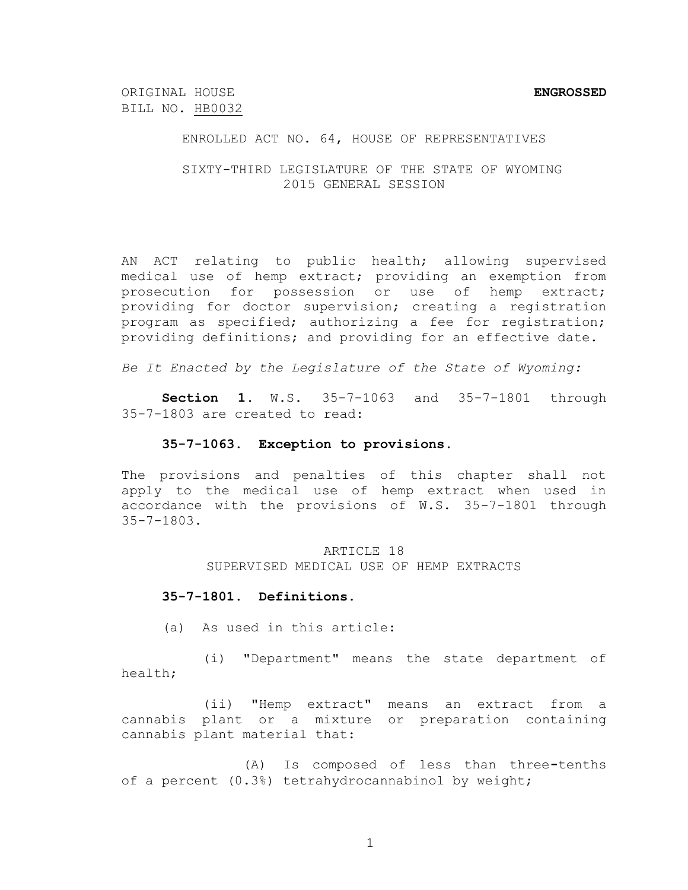ORIGINAL HOUSE **ENGROSSED** BILL NO. HB0032

### ENROLLED ACT NO. 64, HOUSE OF REPRESENTATIVES

### SIXTY-THIRD LEGISLATURE OF THE STATE OF WYOMING 2015 GENERAL SESSION

AN ACT relating to public health; allowing supervised medical use of hemp extract; providing an exemption from prosecution for possession or use of hemp extract; providing for doctor supervision; creating a registration program as specified; authorizing a fee for registration; providing definitions; and providing for an effective date.

*Be It Enacted by the Legislature of the State of Wyoming:*

**Section 1.** W.S. 35-7-1063 and 35-7-1801 through 35-7-1803 are created to read:

### **35-7-1063. Exception to provisions.**

The provisions and penalties of this chapter shall not apply to the medical use of hemp extract when used in accordance with the provisions of W.S. 35-7-1801 through 35-7-1803.

> ARTICLE 18 SUPERVISED MEDICAL USE OF HEMP EXTRACTS

#### **35-7-1801. Definitions.**

(a) As used in this article:

(i) "Department" means the state department of health;

(ii) "Hemp extract" means an extract from a cannabis plant or a mixture or preparation containing cannabis plant material that:

(A) Is composed of less than three**-**tenths of a percent (0.3%) tetrahydrocannabinol by weight;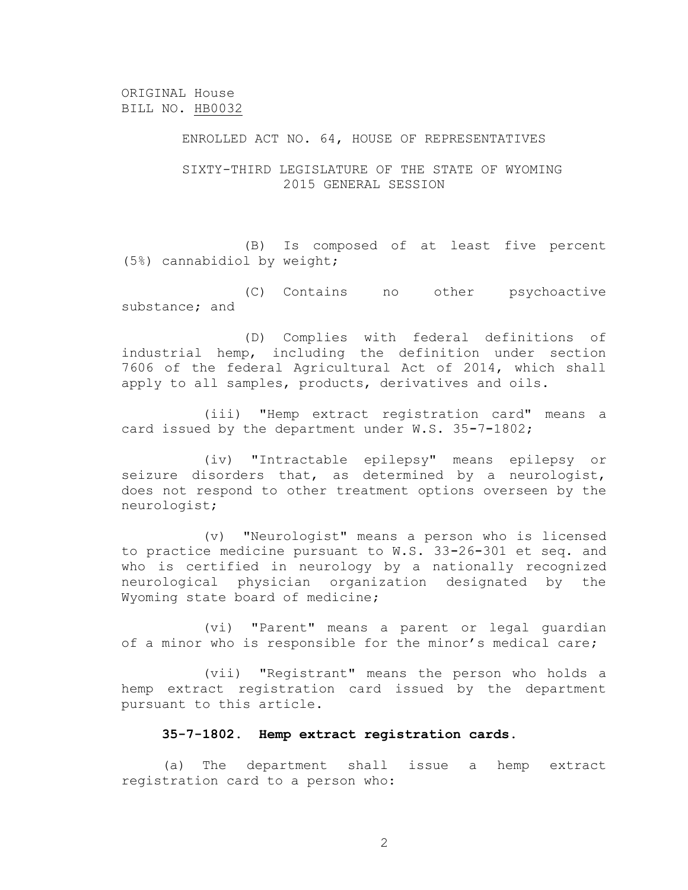### ENROLLED ACT NO. 64, HOUSE OF REPRESENTATIVES

### SIXTY-THIRD LEGISLATURE OF THE STATE OF WYOMING 2015 GENERAL SESSION

(B) Is composed of at least five percent (5%) cannabidiol by weight;

(C) Contains no other psychoactive substance; and

(D) Complies with federal definitions of industrial hemp, including the definition under section 7606 of the federal Agricultural Act of 2014, which shall apply to all samples, products, derivatives and oils.

(iii) "Hemp extract registration card" means a card issued by the department under W.S. 35**-**7**-**1802;

(iv) "Intractable epilepsy" means epilepsy or seizure disorders that, as determined by a neurologist, does not respond to other treatment options overseen by the neurologist;

(v) "Neurologist" means a person who is licensed to practice medicine pursuant to W.S. 33**-**26**-**301 et seq. and who is certified in neurology by a nationally recognized neurological physician organization designated by the Wyoming state board of medicine;

(vi) "Parent" means a parent or legal guardian of a minor who is responsible for the minor's medical care;

(vii) "Registrant" means the person who holds a hemp extract registration card issued by the department pursuant to this article.

### **35-7-1802. Hemp extract registration cards.**

(a) The department shall issue a hemp extract registration card to a person who: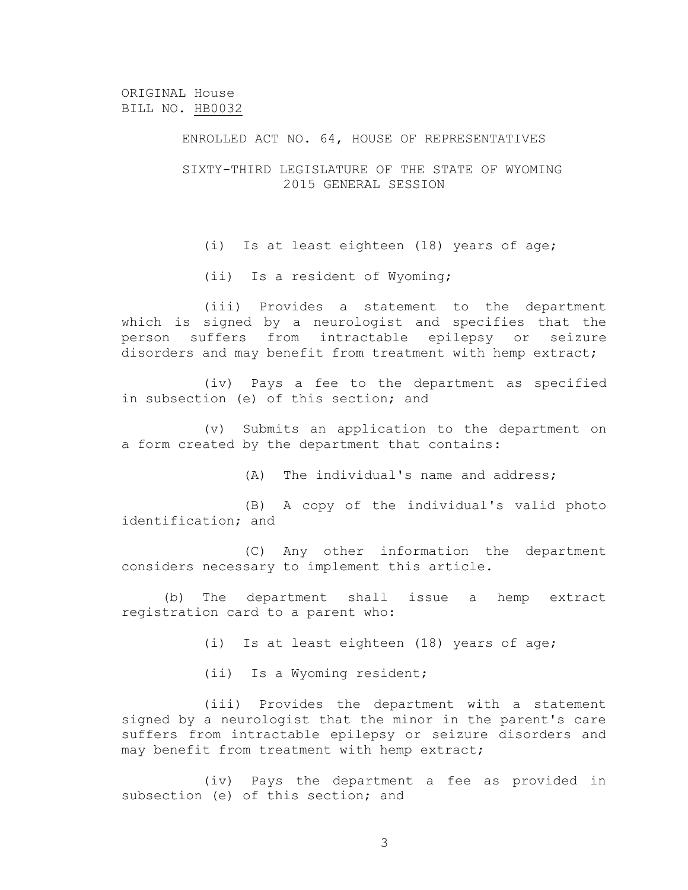### ENROLLED ACT NO. 64, HOUSE OF REPRESENTATIVES

### SIXTY-THIRD LEGISLATURE OF THE STATE OF WYOMING 2015 GENERAL SESSION

(i) Is at least eighteen (18) years of age;

(ii) Is a resident of Wyoming;

(iii) Provides a statement to the department which is signed by a neurologist and specifies that the person suffers from intractable epilepsy or seizure disorders and may benefit from treatment with hemp extract;

(iv) Pays a fee to the department as specified in subsection (e) of this section; and

(v) Submits an application to the department on a form created by the department that contains:

(A) The individual's name and address;

(B) A copy of the individual's valid photo identification; and

(C) Any other information the department considers necessary to implement this article.

(b) The department shall issue a hemp extract registration card to a parent who:

(i) Is at least eighteen (18) years of age;

(ii) Is a Wyoming resident;

(iii) Provides the department with a statement signed by a neurologist that the minor in the parent's care suffers from intractable epilepsy or seizure disorders and may benefit from treatment with hemp extract;

(iv) Pays the department a fee as provided in subsection (e) of this section; and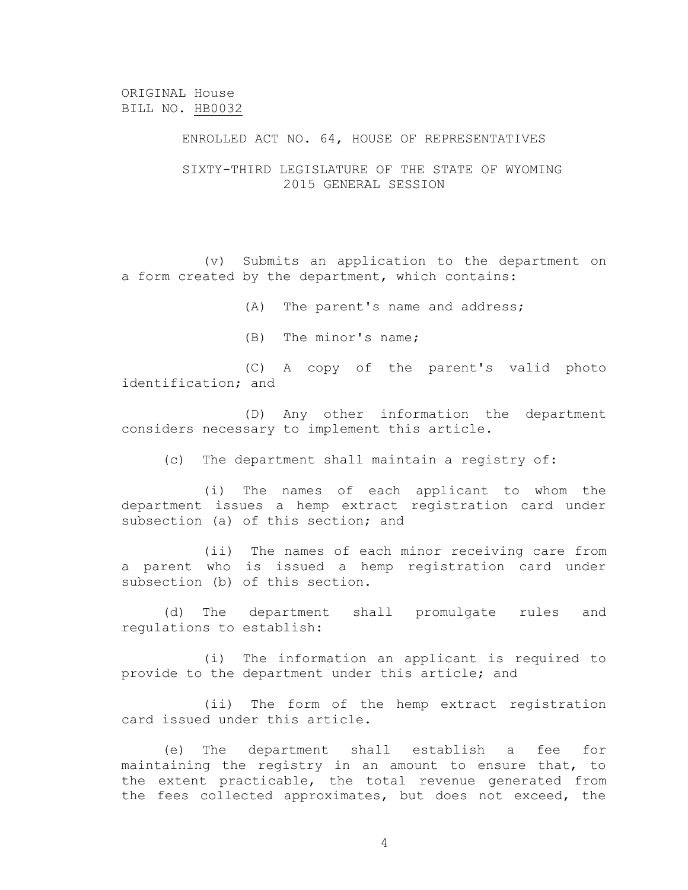# ENROLLED ACT NO. 64, HOUSE OF REPRESENTATIVES

### SIXTY-THIRD LEGISLATURE OF THE STATE OF WYOMING 2015 GENERAL SESSION

(v) Submits an application to the department on a form created by the department, which contains:

(A) The parent's name and address;

(B) The minor's name;

(C) A copy of the parent's valid photo identification; and

(D) Any other information the department considers necessary to implement this article.

(c) The department shall maintain a registry of:

(i) The names of each applicant to whom the department issues a hemp extract registration card under subsection (a) of this section; and

(ii) The names of each minor receiving care from a parent who is issued a hemp registration card under subsection (b) of this section.

(d) The department shall promulgate rules and regulations to establish:

(i) The information an applicant is required to provide to the department under this article; and

(ii) The form of the hemp extract registration card issued under this article.

(e) The department shall establish a fee for maintaining the registry in an amount to ensure that, to the extent practicable, the total revenue generated from the fees collected approximates, but does not exceed, the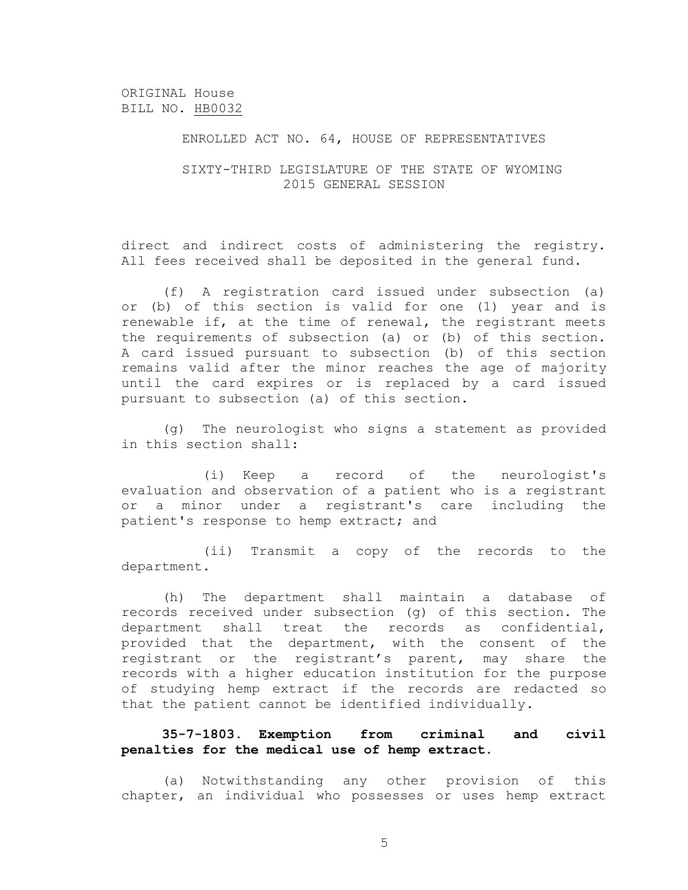### ENROLLED ACT NO. 64, HOUSE OF REPRESENTATIVES

### SIXTY-THIRD LEGISLATURE OF THE STATE OF WYOMING 2015 GENERAL SESSION

direct and indirect costs of administering the registry. All fees received shall be deposited in the general fund.

(f) A registration card issued under subsection (a) or (b) of this section is valid for one (1) year and is renewable if, at the time of renewal, the registrant meets the requirements of subsection (a) or (b) of this section. A card issued pursuant to subsection (b) of this section remains valid after the minor reaches the age of majority until the card expires or is replaced by a card issued pursuant to subsection (a) of this section.

(g) The neurologist who signs a statement as provided in this section shall:

(i) Keep a record of the neurologist's evaluation and observation of a patient who is a registrant or a minor under a registrant's care including the patient's response to hemp extract; and

(ii) Transmit a copy of the records to the department.

(h) The department shall maintain a database of records received under subsection (g) of this section. The department shall treat the records as confidential, provided that the department, with the consent of the registrant or the registrant's parent, may share the records with a higher education institution for the purpose of studying hemp extract if the records are redacted so that the patient cannot be identified individually.

# **35-7-1803. Exemption from criminal and civil penalties for the medical use of hemp extract.**

(a) Notwithstanding any other provision of this chapter, an individual who possesses or uses hemp extract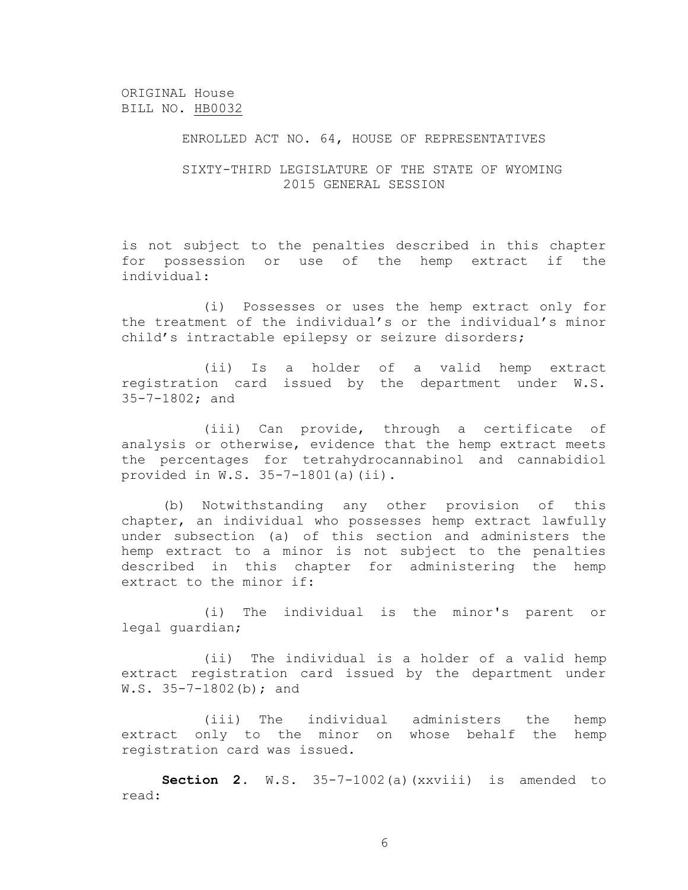### ENROLLED ACT NO. 64, HOUSE OF REPRESENTATIVES

### SIXTY-THIRD LEGISLATURE OF THE STATE OF WYOMING 2015 GENERAL SESSION

is not subject to the penalties described in this chapter for possession or use of the hemp extract if the individual:

(i) Possesses or uses the hemp extract only for the treatment of the individual's or the individual's minor child's intractable epilepsy or seizure disorders;

(ii) Is a holder of a valid hemp extract registration card issued by the department under W.S. 35-7-1802; and

(iii) Can provide, through a certificate of analysis or otherwise, evidence that the hemp extract meets the percentages for tetrahydrocannabinol and cannabidiol provided in W.S. 35-7-1801(a)(ii).

(b) Notwithstanding any other provision of this chapter, an individual who possesses hemp extract lawfully under subsection (a) of this section and administers the hemp extract to a minor is not subject to the penalties described in this chapter for administering the hemp extract to the minor if:

(i) The individual is the minor's parent or legal guardian;

(ii) The individual is a holder of a valid hemp extract registration card issued by the department under W.S.  $35-7-1802$  (b); and

(iii) The individual administers the hemp extract only to the minor on whose behalf the hemp registration card was issued.

**Section 2.** W.S. 35-7-1002(a)(xxviii) is amended to read: